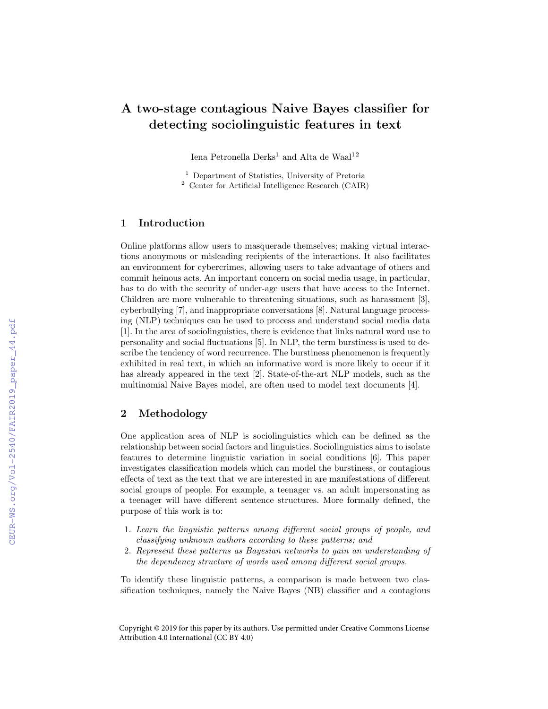# A two-stage contagious Naive Bayes classifier for detecting sociolinguistic features in text

Iena Petronella Derks<sup>1</sup> and Alta de Waal<sup>12</sup>

<sup>1</sup> Department of Statistics, University of Pretoria <sup>2</sup> Center for Artificial Intelligence Research (CAIR)

## 1 Introduction

Online platforms allow users to masquerade themselves; making virtual interactions anonymous or misleading recipients of the interactions. It also facilitates an environment for cybercrimes, allowing users to take advantage of others and commit heinous acts. An important concern on social media usage, in particular, has to do with the security of under-age users that have access to the Internet. Children are more vulnerable to threatening situations, such as harassment [3], cyberbullying [7], and inappropriate conversations [8]. Natural language processing (NLP) techniques can be used to process and understand social media data [1]. In the area of sociolinguistics, there is evidence that links natural word use to personality and social fluctuations [5]. In NLP, the term burstiness is used to describe the tendency of word recurrence. The burstiness phenomenon is frequently exhibited in real text, in which an informative word is more likely to occur if it has already appeared in the text [2]. State-of-the-art NLP models, such as the multinomial Naive Bayes model, are often used to model text documents [4].

### 2 Methodology

One application area of NLP is sociolinguistics which can be defined as the relationship between social factors and linguistics. Sociolinguistics aims to isolate features to determine linguistic variation in social conditions [6]. This paper investigates classification models which can model the burstiness, or contagious effects of text as the text that we are interested in are manifestations of different social groups of people. For example, a teenager vs. an adult impersonating as a teenager will have different sentence structures. More formally defined, the purpose of this work is to:

- 1. Learn the linguistic patterns among different social groups of people, and classifying unknown authors according to these patterns; and
- 2. Represent these patterns as Bayesian networks to gain an understanding of the dependency structure of words used among different social groups.

To identify these linguistic patterns, a comparison is made between two classification techniques, namely the Naive Bayes (NB) classifier and a contagious

Copyright © 2019 for this paper by its authors. Use permitted under Creative Commons License Attribution 4.0 International (CC BY 4.0)